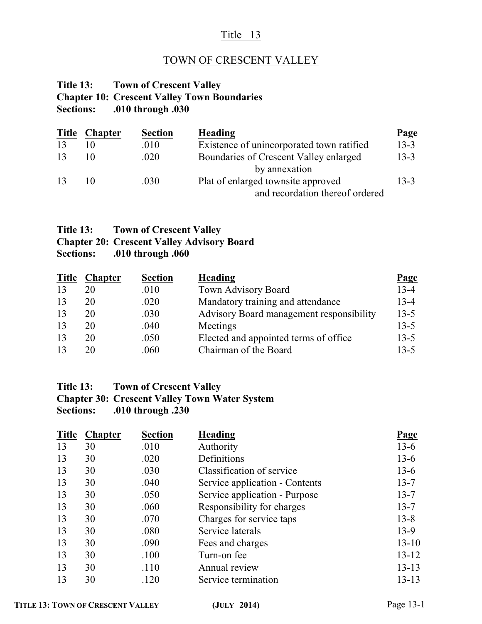### Title 13

# TOWN OF CRESCENT VALLEY

### **Title 13: Town of Crescent Valley Chapter 10: Crescent Valley Town Boundaries Sections: .010 through .030**

| <b>Title</b> | <b>Chapter</b> | <b>Section</b> | Heading                                                               | <b>Page</b> |
|--------------|----------------|----------------|-----------------------------------------------------------------------|-------------|
| 13           |                | .010           | Existence of unincorporated town ratified                             | $13 - 3$    |
| 13           |                | .020           | Boundaries of Crescent Valley enlarged<br>by annexation               | $13 - 3$    |
| 13           | 10             | .030           | Plat of enlarged townsite approved<br>and recordation thereof ordered | $13 - 3$    |

| Title 13: Town of Crescent Valley                 |
|---------------------------------------------------|
| <b>Chapter 20: Crescent Valley Advisory Board</b> |
| Sections: .010 through .060                       |

| <b>Title</b> | <b>Chapter</b> | <b>Section</b> | Heading                                  | Page     |
|--------------|----------------|----------------|------------------------------------------|----------|
| 13           | 20             | .010           | Town Advisory Board                      | $13 - 4$ |
| 13           | 20             | .020           | Mandatory training and attendance        | $13 - 4$ |
| 13           | 20             | .030           | Advisory Board management responsibility | $13 - 5$ |
| 13           | 20             | .040           | Meetings                                 | $13 - 5$ |
| 13           | 20             | .050           | Elected and appointed terms of office.   | $13 - 5$ |
| 13           | 20             | .060           | Chairman of the Board                    | $13 - 5$ |

### **Title 13: Town of Crescent Valley Chapter 30: Crescent Valley Town Water System Sections: .010 through .230**

| <b>Title</b> | <b>Chapter</b> | <b>Section</b> | <b>Heading</b>                 | <u>Page</u> |
|--------------|----------------|----------------|--------------------------------|-------------|
| 13           | 30             | .010           | Authority                      | $13-6$      |
| 13           | 30             | .020           | Definitions                    | $13-6$      |
| 13           | 30             | .030           | Classification of service      | $13-6$      |
| 13           | 30             | .040           | Service application - Contents | $13 - 7$    |
| 13           | 30             | .050           | Service application - Purpose  | $13 - 7$    |
| 13           | 30             | .060           | Responsibility for charges     | $13 - 7$    |
| 13           | 30             | .070           | Charges for service taps       | $13 - 8$    |
| 13           | 30             | .080           | Service laterals               | $13-9$      |
| 13           | 30             | .090           | Fees and charges               | $13 - 10$   |
| 13           | 30             | .100           | Turn-on fee                    | $13 - 12$   |
| 13           | 30             | .110           | Annual review                  | $13 - 13$   |
| 13           | 30             | .120           | Service termination            | $13 - 13$   |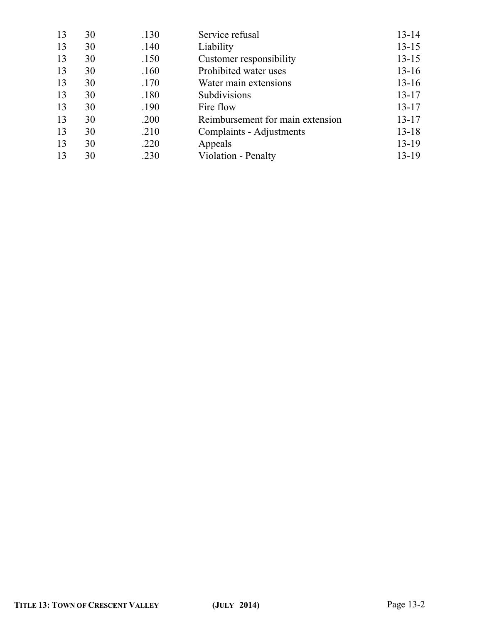| 30 | .130 | Service refusal                  | $13 - 14$ |
|----|------|----------------------------------|-----------|
| 30 | .140 | Liability                        | $13 - 15$ |
| 30 | .150 | Customer responsibility          | $13 - 15$ |
| 30 | .160 | Prohibited water uses            | $13 - 16$ |
| 30 | .170 | Water main extensions            | $13 - 16$ |
| 30 | .180 | Subdivisions                     | $13 - 17$ |
| 30 | .190 | Fire flow                        | $13 - 17$ |
| 30 | .200 | Reimbursement for main extension | $13 - 17$ |
| 30 | .210 | Complaints - Adjustments         | $13 - 18$ |
| 30 | .220 | Appeals                          | $13 - 19$ |
| 30 | .230 | Violation - Penalty              | $13 - 19$ |
|    |      |                                  |           |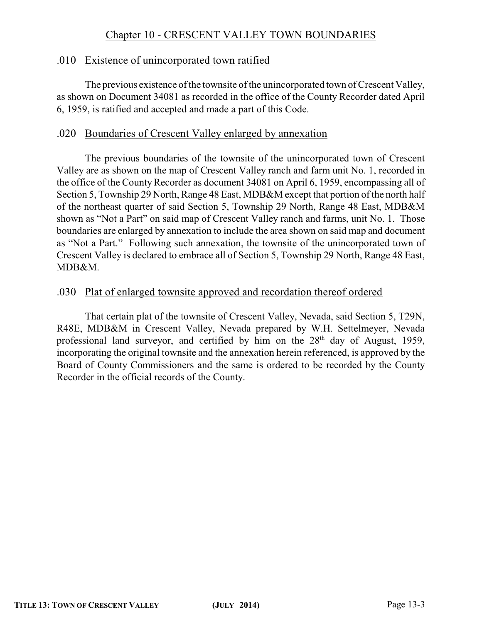## Chapter 10 - CRESCENT VALLEY TOWN BOUNDARIES

### .010 Existence of unincorporated town ratified

The previous existence of the townsite of the unincorporated town of Crescent Valley, as shown on Document 34081 as recorded in the office of the County Recorder dated April 6, 1959, is ratified and accepted and made a part of this Code.

### .020 Boundaries of Crescent Valley enlarged by annexation

The previous boundaries of the townsite of the unincorporated town of Crescent Valley are as shown on the map of Crescent Valley ranch and farm unit No. 1, recorded in the office of the County Recorder as document 34081 on April 6, 1959, encompassing all of Section 5, Township 29 North, Range 48 East, MDB&M except that portion of the north half of the northeast quarter of said Section 5, Township 29 North, Range 48 East, MDB&M shown as "Not a Part" on said map of Crescent Valley ranch and farms, unit No. 1. Those boundaries are enlarged by annexation to include the area shown on said map and document as "Not a Part." Following such annexation, the townsite of the unincorporated town of Crescent Valley is declared to embrace all of Section 5, Township 29 North, Range 48 East, MDB&M.

## .030 Plat of enlarged townsite approved and recordation thereof ordered

That certain plat of the townsite of Crescent Valley, Nevada, said Section 5, T29N, R48E, MDB&M in Crescent Valley, Nevada prepared by W.H. Settelmeyer, Nevada professional land surveyor, and certified by him on the  $28<sup>th</sup>$  day of August, 1959, incorporating the original townsite and the annexation herein referenced, is approved by the Board of County Commissioners and the same is ordered to be recorded by the County Recorder in the official records of the County.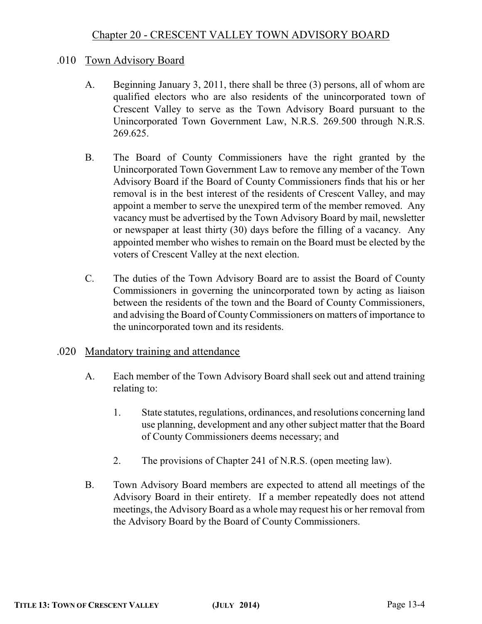## .010 Town Advisory Board

- A. Beginning January 3, 2011, there shall be three (3) persons, all of whom are qualified electors who are also residents of the unincorporated town of Crescent Valley to serve as the Town Advisory Board pursuant to the Unincorporated Town Government Law, N.R.S. 269.500 through N.R.S. 269.625.
- B. The Board of County Commissioners have the right granted by the Unincorporated Town Government Law to remove any member of the Town Advisory Board if the Board of County Commissioners finds that his or her removal is in the best interest of the residents of Crescent Valley, and may appoint a member to serve the unexpired term of the member removed. Any vacancy must be advertised by the Town Advisory Board by mail, newsletter or newspaper at least thirty (30) days before the filling of a vacancy. Any appointed member who wishes to remain on the Board must be elected by the voters of Crescent Valley at the next election.
- C. The duties of the Town Advisory Board are to assist the Board of County Commissioners in governing the unincorporated town by acting as liaison between the residents of the town and the Board of County Commissioners, and advising the Board of CountyCommissioners on matters of importance to the unincorporated town and its residents.

## .020 Mandatory training and attendance

- A. Each member of the Town Advisory Board shall seek out and attend training relating to:
	- 1. State statutes, regulations, ordinances, and resolutions concerning land use planning, development and any other subject matter that the Board of County Commissioners deems necessary; and
	- 2. The provisions of Chapter 241 of N.R.S. (open meeting law).
- B. Town Advisory Board members are expected to attend all meetings of the Advisory Board in their entirety. If a member repeatedly does not attend meetings, the Advisory Board as a whole may request his or her removal from the Advisory Board by the Board of County Commissioners.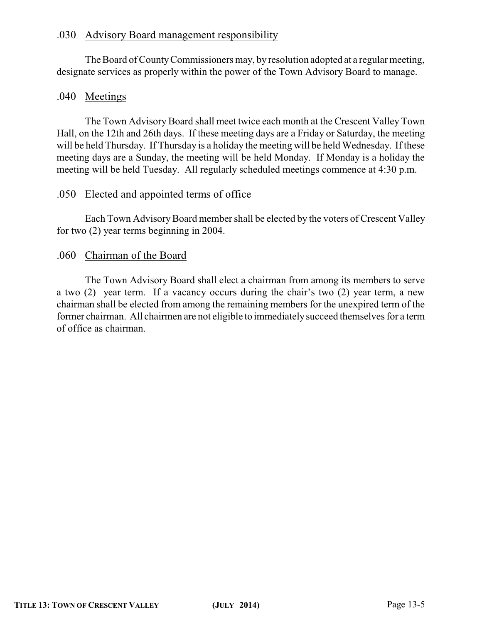### .030 Advisory Board management responsibility

The Board of County Commissioners may, by resolution adopted at a regular meeting, designate services as properly within the power of the Town Advisory Board to manage.

### .040 Meetings

The Town Advisory Board shall meet twice each month at the Crescent Valley Town Hall, on the 12th and 26th days. If these meeting days are a Friday or Saturday, the meeting will be held Thursday. If Thursday is a holiday the meeting will be held Wednesday. If these meeting days are a Sunday, the meeting will be held Monday. If Monday is a holiday the meeting will be held Tuesday. All regularly scheduled meetings commence at 4:30 p.m.

### .050 Elected and appointed terms of office

Each Town Advisory Board member shall be elected by the voters of Crescent Valley for two (2) year terms beginning in 2004.

### .060 Chairman of the Board

The Town Advisory Board shall elect a chairman from among its members to serve a two (2) year term. If a vacancy occurs during the chair's two (2) year term, a new chairman shall be elected from among the remaining members for the unexpired term of the former chairman. All chairmen are not eligible to immediatelysucceed themselves for a term of office as chairman.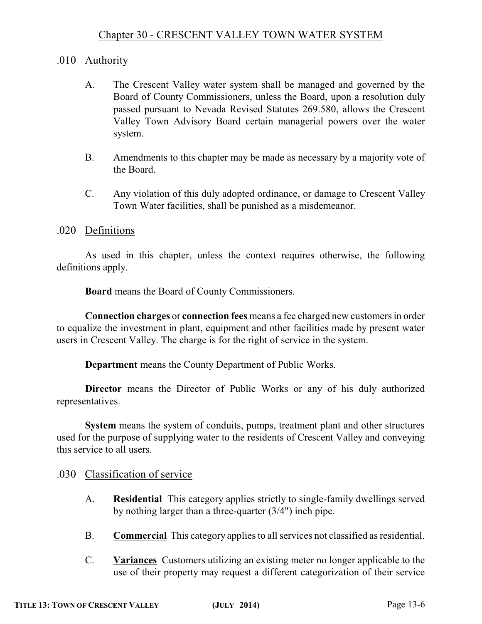## Chapter 30 - CRESCENT VALLEY TOWN WATER SYSTEM

### .010 Authority

- A. The Crescent Valley water system shall be managed and governed by the Board of County Commissioners, unless the Board, upon a resolution duly passed pursuant to Nevada Revised Statutes 269.580, allows the Crescent Valley Town Advisory Board certain managerial powers over the water system.
- B. Amendments to this chapter may be made as necessary by a majority vote of the Board.
- C. Any violation of this duly adopted ordinance, or damage to Crescent Valley Town Water facilities, shall be punished as a misdemeanor.

### .020 Definitions

As used in this chapter, unless the context requires otherwise, the following definitions apply.

**Board** means the Board of County Commissioners.

**Connection charges** or **connection fees** means a fee charged new customers in order to equalize the investment in plant, equipment and other facilities made by present water users in Crescent Valley. The charge is for the right of service in the system.

**Department** means the County Department of Public Works.

**Director** means the Director of Public Works or any of his duly authorized representatives.

**System** means the system of conduits, pumps, treatment plant and other structures used for the purpose of supplying water to the residents of Crescent Valley and conveying this service to all users.

### .030 Classification of service

- A. **Residential** This category applies strictly to single-family dwellings served by nothing larger than a three-quarter (3/4") inch pipe.
- B. **Commercial** This category applies to all services not classified as residential.
- C. **Variances** Customers utilizing an existing meter no longer applicable to the use of their property may request a different categorization of their service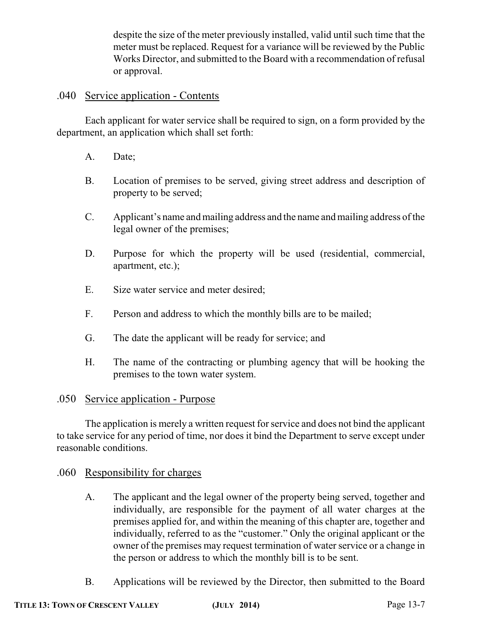despite the size of the meter previously installed, valid until such time that the meter must be replaced. Request for a variance will be reviewed by the Public Works Director, and submitted to the Board with a recommendation of refusal or approval.

### .040 Service application - Contents

Each applicant for water service shall be required to sign, on a form provided by the department, an application which shall set forth:

- A. Date;
- B. Location of premises to be served, giving street address and description of property to be served;
- C. Applicant's name and mailing address and the name and mailing address of the legal owner of the premises;
- D. Purpose for which the property will be used (residential, commercial, apartment, etc.);
- E. Size water service and meter desired;
- F. Person and address to which the monthly bills are to be mailed;
- G. The date the applicant will be ready for service; and
- H. The name of the contracting or plumbing agency that will be hooking the premises to the town water system.

### .050 Service application - Purpose

The application is merely a written request for service and does not bind the applicant to take service for any period of time, nor does it bind the Department to serve except under reasonable conditions.

## .060 Responsibility for charges

- A. The applicant and the legal owner of the property being served, together and individually, are responsible for the payment of all water charges at the premises applied for, and within the meaning of this chapter are, together and individually, referred to as the "customer." Only the original applicant or the owner of the premises may request termination of water service or a change in the person or address to which the monthly bill is to be sent.
- B. Applications will be reviewed by the Director, then submitted to the Board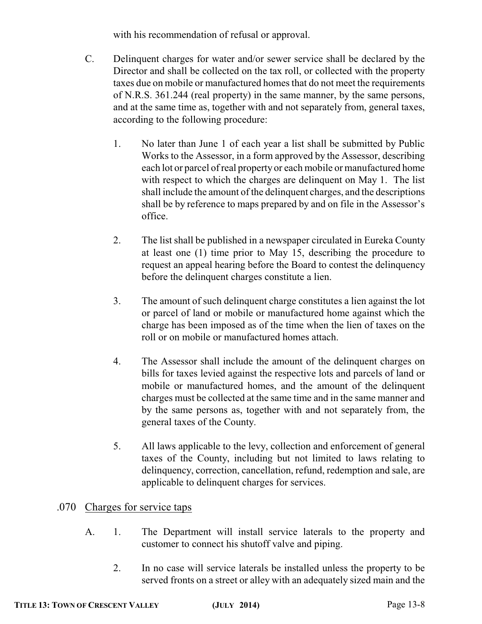with his recommendation of refusal or approval.

- C. Delinquent charges for water and/or sewer service shall be declared by the Director and shall be collected on the tax roll, or collected with the property taxes due on mobile or manufactured homes that do not meet the requirements of N.R.S. 361.244 (real property) in the same manner, by the same persons, and at the same time as, together with and not separately from, general taxes, according to the following procedure:
	- 1. No later than June 1 of each year a list shall be submitted by Public Works to the Assessor, in a form approved by the Assessor, describing each lot or parcel of real property or each mobile or manufactured home with respect to which the charges are delinquent on May 1. The list shall include the amount of the delinquent charges, and the descriptions shall be by reference to maps prepared by and on file in the Assessor's office.
	- 2. The list shall be published in a newspaper circulated in Eureka County at least one (1) time prior to May 15, describing the procedure to request an appeal hearing before the Board to contest the delinquency before the delinquent charges constitute a lien.
	- 3. The amount of such delinquent charge constitutes a lien against the lot or parcel of land or mobile or manufactured home against which the charge has been imposed as of the time when the lien of taxes on the roll or on mobile or manufactured homes attach.
	- 4. The Assessor shall include the amount of the delinquent charges on bills for taxes levied against the respective lots and parcels of land or mobile or manufactured homes, and the amount of the delinquent charges must be collected at the same time and in the same manner and by the same persons as, together with and not separately from, the general taxes of the County.
	- 5. All laws applicable to the levy, collection and enforcement of general taxes of the County, including but not limited to laws relating to delinquency, correction, cancellation, refund, redemption and sale, are applicable to delinquent charges for services.

## .070 Charges for service taps

- A. 1. The Department will install service laterals to the property and customer to connect his shutoff valve and piping.
	- 2. In no case will service laterals be installed unless the property to be served fronts on a street or alley with an adequately sized main and the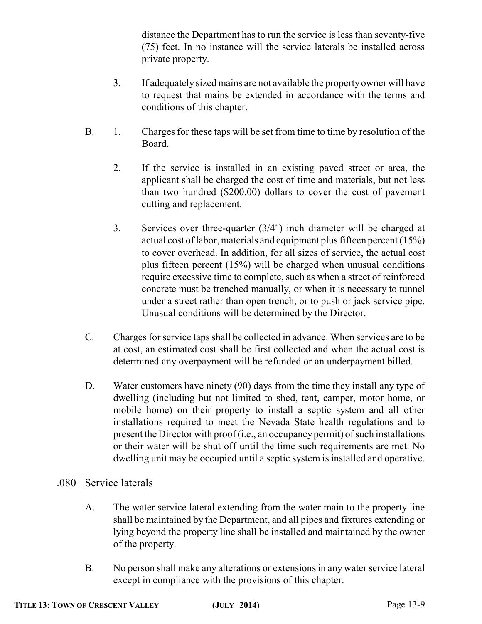distance the Department has to run the service is less than seventy-five (75) feet. In no instance will the service laterals be installed across private property.

- 3. If adequately sized mains are not available the property owner will have to request that mains be extended in accordance with the terms and conditions of this chapter.
- B. 1. Charges for these taps will be set from time to time by resolution of the Board.
	- 2. If the service is installed in an existing paved street or area, the applicant shall be charged the cost of time and materials, but not less than two hundred (\$200.00) dollars to cover the cost of pavement cutting and replacement.
	- 3. Services over three-quarter (3/4") inch diameter will be charged at actual cost of labor, materials and equipment plus fifteen percent (15%) to cover overhead. In addition, for all sizes of service, the actual cost plus fifteen percent (15%) will be charged when unusual conditions require excessive time to complete, such as when a street of reinforced concrete must be trenched manually, or when it is necessary to tunnel under a street rather than open trench, or to push or jack service pipe. Unusual conditions will be determined by the Director.
- C. Charges for service taps shall be collected in advance. When services are to be at cost, an estimated cost shall be first collected and when the actual cost is determined any overpayment will be refunded or an underpayment billed.
- D. Water customers have ninety (90) days from the time they install any type of dwelling (including but not limited to shed, tent, camper, motor home, or mobile home) on their property to install a septic system and all other installations required to meet the Nevada State health regulations and to present the Director with proof (i.e., an occupancy permit) of such installations or their water will be shut off until the time such requirements are met. No dwelling unit may be occupied until a septic system is installed and operative.

### .080 Service laterals

- A. The water service lateral extending from the water main to the property line shall be maintained by the Department, and all pipes and fixtures extending or lying beyond the property line shall be installed and maintained by the owner of the property.
- B. No person shall make any alterations or extensions in any water service lateral except in compliance with the provisions of this chapter.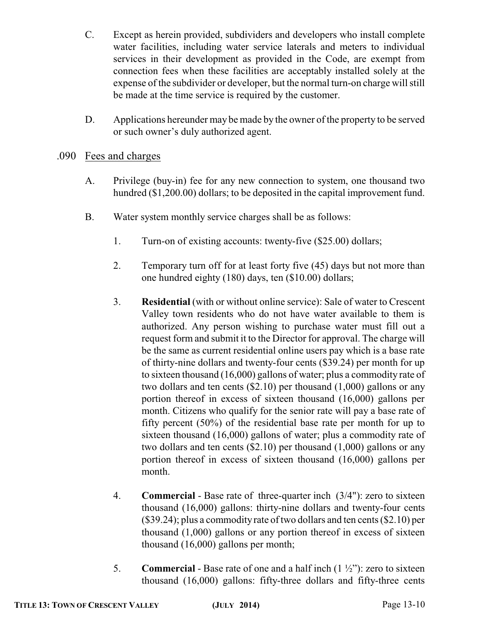- C. Except as herein provided, subdividers and developers who install complete water facilities, including water service laterals and meters to individual services in their development as provided in the Code, are exempt from connection fees when these facilities are acceptably installed solely at the expense of the subdivider or developer, but the normal turn-on charge will still be made at the time service is required by the customer.
- D. Applications hereunder may be made by the owner of the property to be served or such owner's duly authorized agent.

### .090 Fees and charges

- A. Privilege (buy-in) fee for any new connection to system, one thousand two hundred (\$1,200.00) dollars; to be deposited in the capital improvement fund.
- B. Water system monthly service charges shall be as follows:
	- 1. Turn-on of existing accounts: twenty-five (\$25.00) dollars;
	- 2. Temporary turn off for at least forty five (45) days but not more than one hundred eighty (180) days, ten (\$10.00) dollars;
	- 3. **Residential** (with or without online service): Sale of water to Crescent Valley town residents who do not have water available to them is authorized. Any person wishing to purchase water must fill out a request form and submit it to the Director for approval. The charge will be the same as current residential online users pay which is a base rate of thirty-nine dollars and twenty-four cents (\$39.24) per month for up to sixteen thousand (16,000) gallons of water; plus a commodity rate of two dollars and ten cents (\$2.10) per thousand (1,000) gallons or any portion thereof in excess of sixteen thousand (16,000) gallons per month. Citizens who qualify for the senior rate will pay a base rate of fifty percent (50%) of the residential base rate per month for up to sixteen thousand (16,000) gallons of water; plus a commodity rate of two dollars and ten cents (\$2.10) per thousand (1,000) gallons or any portion thereof in excess of sixteen thousand (16,000) gallons per month.
	- 4. **Commercial** Base rate of three-quarter inch (3/4"): zero to sixteen thousand (16,000) gallons: thirty-nine dollars and twenty-four cents (\$39.24); plus a commodityrate of two dollars and ten cents (\$2.10) per thousand (1,000) gallons or any portion thereof in excess of sixteen thousand (16,000) gallons per month;
	- 5. **Commercial** Base rate of one and a half inch  $(1 \frac{1}{2})$ : zero to sixteen thousand (16,000) gallons: fifty-three dollars and fifty-three cents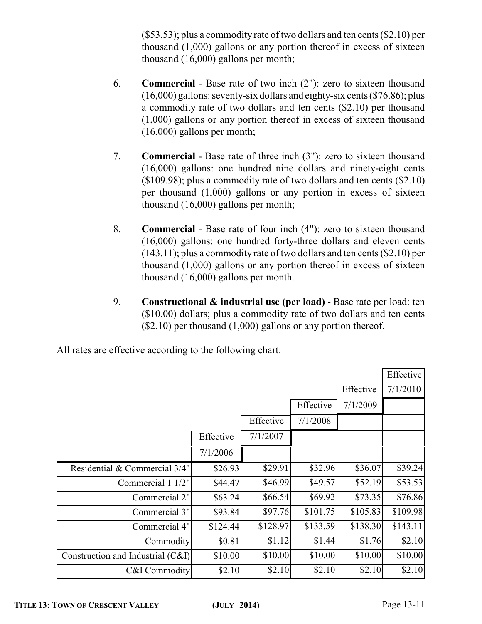(\$53.53); plus a commodity rate of two dollars and ten cents (\$2.10) per thousand (1,000) gallons or any portion thereof in excess of sixteen thousand (16,000) gallons per month;

- 6. **Commercial** Base rate of two inch (2"): zero to sixteen thousand (16,000) gallons: seventy-six dollars and eighty-six cents (\$76.86); plus a commodity rate of two dollars and ten cents (\$2.10) per thousand (1,000) gallons or any portion thereof in excess of sixteen thousand (16,000) gallons per month;
- 7. **Commercial** Base rate of three inch (3"): zero to sixteen thousand (16,000) gallons: one hundred nine dollars and ninety-eight cents (\$109.98); plus a commodity rate of two dollars and ten cents (\$2.10) per thousand (1,000) gallons or any portion in excess of sixteen thousand (16,000) gallons per month;
- 8. **Commercial** Base rate of four inch (4"): zero to sixteen thousand (16,000) gallons: one hundred forty-three dollars and eleven cents (143.11); plus a commodity rate of two dollars and ten cents (\$2.10) per thousand (1,000) gallons or any portion thereof in excess of sixteen thousand (16,000) gallons per month.
- 9. **Constructional & industrial use (per load)** Base rate per load: ten (\$10.00) dollars; plus a commodity rate of two dollars and ten cents (\$2.10) per thousand (1,000) gallons or any portion thereof.

All rates are effective according to the following chart:

|                                   |           |           |           |           | Effective |
|-----------------------------------|-----------|-----------|-----------|-----------|-----------|
|                                   |           |           |           | Effective | 7/1/2010  |
|                                   |           |           | Effective | 7/1/2009  |           |
|                                   |           | Effective | 7/1/2008  |           |           |
|                                   | Effective | 7/1/2007  |           |           |           |
|                                   | 7/1/2006  |           |           |           |           |
| Residential & Commercial 3/4"     | \$26.93   | \$29.91   | \$32.96   | \$36.07   | \$39.24   |
| Commercial 1 1/2"                 | \$44.47   | \$46.99   | \$49.57   | \$52.19   | \$53.53   |
| Commercial 2"                     | \$63.24   | \$66.54   | \$69.92   | \$73.35   | \$76.86   |
| Commercial 3"                     | \$93.84   | \$97.76   | \$101.75  | \$105.83  | \$109.98  |
| Commercial 4"                     | \$124.44  | \$128.97  | \$133.59  | \$138.30  | \$143.11  |
| Commodity                         | \$0.81    | \$1.12    | \$1.44    | \$1.76    | \$2.10    |
| Construction and Industrial (C&I) | \$10.00   | \$10.00   | \$10.00   | \$10.00   | \$10.00   |
| C&I Commodity                     | \$2.10    | \$2.10    | \$2.10    | \$2.10    | \$2.10    |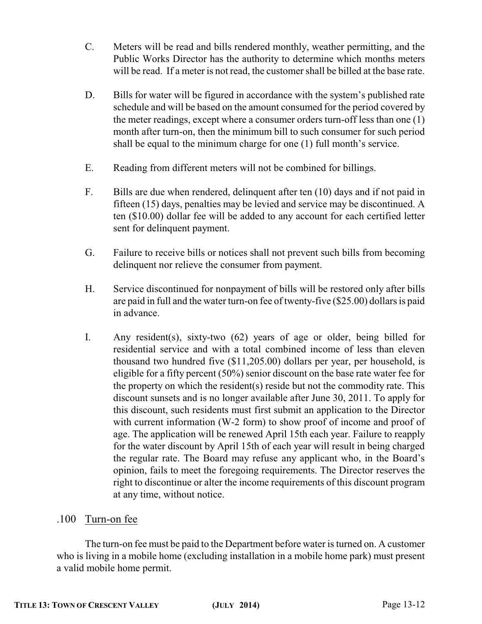- C. Meters will be read and bills rendered monthly, weather permitting, and the Public Works Director has the authority to determine which months meters will be read. If a meter is not read, the customer shall be billed at the base rate.
- D. Bills for water will be figured in accordance with the system's published rate schedule and will be based on the amount consumed for the period covered by the meter readings, except where a consumer orders turn-off less than one (1) month after turn-on, then the minimum bill to such consumer for such period shall be equal to the minimum charge for one (1) full month's service.
- E. Reading from different meters will not be combined for billings.
- F. Bills are due when rendered, delinquent after ten (10) days and if not paid in fifteen (15) days, penalties may be levied and service may be discontinued. A ten (\$10.00) dollar fee will be added to any account for each certified letter sent for delinquent payment.
- G. Failure to receive bills or notices shall not prevent such bills from becoming delinquent nor relieve the consumer from payment.
- H. Service discontinued for nonpayment of bills will be restored only after bills are paid in full and the water turn-on fee of twenty-five (\$25.00) dollars is paid in advance.
- I. Any resident(s), sixty-two (62) years of age or older, being billed for residential service and with a total combined income of less than eleven thousand two hundred five (\$11,205.00) dollars per year, per household, is eligible for a fifty percent (50%) senior discount on the base rate water fee for the property on which the resident(s) reside but not the commodity rate. This discount sunsets and is no longer available after June 30, 2011. To apply for this discount, such residents must first submit an application to the Director with current information (W-2 form) to show proof of income and proof of age. The application will be renewed April 15th each year. Failure to reapply for the water discount by April 15th of each year will result in being charged the regular rate. The Board may refuse any applicant who, in the Board's opinion, fails to meet the foregoing requirements. The Director reserves the right to discontinue or alter the income requirements of this discount program at any time, without notice.

## .100 Turn-on fee

The turn-on fee must be paid to the Department before water is turned on. A customer who is living in a mobile home (excluding installation in a mobile home park) must present a valid mobile home permit.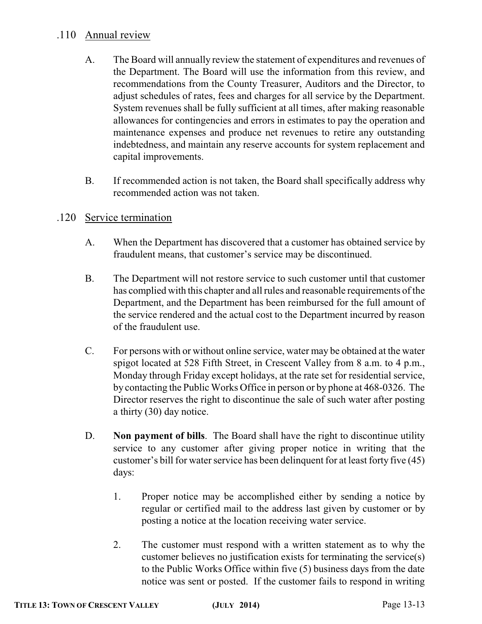### .110 Annual review

- A. The Board will annually review the statement of expenditures and revenues of the Department. The Board will use the information from this review, and recommendations from the County Treasurer, Auditors and the Director, to adjust schedules of rates, fees and charges for all service by the Department. System revenues shall be fully sufficient at all times, after making reasonable allowances for contingencies and errors in estimates to pay the operation and maintenance expenses and produce net revenues to retire any outstanding indebtedness, and maintain any reserve accounts for system replacement and capital improvements.
- B. If recommended action is not taken, the Board shall specifically address why recommended action was not taken.

### .120 Service termination

- A. When the Department has discovered that a customer has obtained service by fraudulent means, that customer's service may be discontinued.
- B. The Department will not restore service to such customer until that customer has complied with this chapter and all rules and reasonable requirements of the Department, and the Department has been reimbursed for the full amount of the service rendered and the actual cost to the Department incurred by reason of the fraudulent use.
- C. For persons with or without online service, water may be obtained at the water spigot located at 528 Fifth Street, in Crescent Valley from 8 a.m. to 4 p.m., Monday through Friday except holidays, at the rate set for residential service, by contacting the Public Works Office in person or by phone at 468-0326. The Director reserves the right to discontinue the sale of such water after posting a thirty (30) day notice.
- D. **Non payment of bills**. The Board shall have the right to discontinue utility service to any customer after giving proper notice in writing that the customer's bill for water service has been delinquent for at least forty five (45) days:
	- 1. Proper notice may be accomplished either by sending a notice by regular or certified mail to the address last given by customer or by posting a notice at the location receiving water service.
	- 2. The customer must respond with a written statement as to why the customer believes no justification exists for terminating the service(s) to the Public Works Office within five (5) business days from the date notice was sent or posted. If the customer fails to respond in writing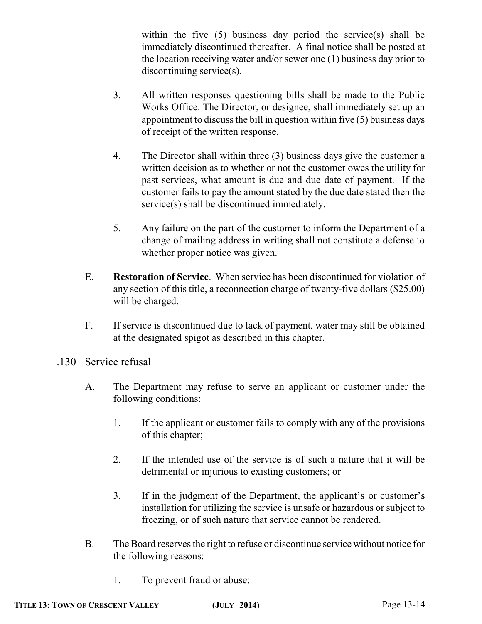within the five (5) business day period the service(s) shall be immediately discontinued thereafter. A final notice shall be posted at the location receiving water and/or sewer one (1) business day prior to discontinuing service(s).

- 3. All written responses questioning bills shall be made to the Public Works Office. The Director, or designee, shall immediately set up an appointment to discuss the bill in question within five (5) business days of receipt of the written response.
- 4. The Director shall within three (3) business days give the customer a written decision as to whether or not the customer owes the utility for past services, what amount is due and due date of payment. If the customer fails to pay the amount stated by the due date stated then the service(s) shall be discontinued immediately.
- 5. Any failure on the part of the customer to inform the Department of a change of mailing address in writing shall not constitute a defense to whether proper notice was given.
- E. **Restoration of Service**. When service has been discontinued for violation of any section of this title, a reconnection charge of twenty-five dollars (\$25.00) will be charged.
- F. If service is discontinued due to lack of payment, water may still be obtained at the designated spigot as described in this chapter.
- .130 Service refusal
	- A. The Department may refuse to serve an applicant or customer under the following conditions:
		- 1. If the applicant or customer fails to comply with any of the provisions of this chapter;
		- 2. If the intended use of the service is of such a nature that it will be detrimental or injurious to existing customers; or
		- 3. If in the judgment of the Department, the applicant's or customer's installation for utilizing the service is unsafe or hazardous or subject to freezing, or of such nature that service cannot be rendered.
	- B. The Board reserves the right to refuse or discontinue service without notice for the following reasons:
		- 1. To prevent fraud or abuse;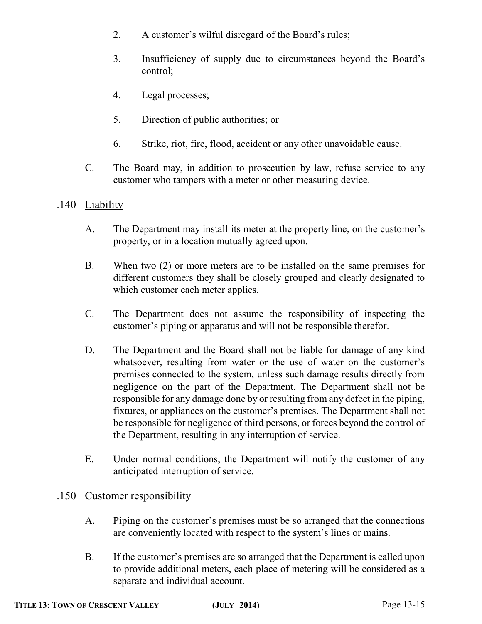- 2. A customer's wilful disregard of the Board's rules;
- 3. Insufficiency of supply due to circumstances beyond the Board's control;
- 4. Legal processes;
- 5. Direction of public authorities; or
- 6. Strike, riot, fire, flood, accident or any other unavoidable cause.
- C. The Board may, in addition to prosecution by law, refuse service to any customer who tampers with a meter or other measuring device.

### .140 Liability

- A. The Department may install its meter at the property line, on the customer's property, or in a location mutually agreed upon.
- B. When two (2) or more meters are to be installed on the same premises for different customers they shall be closely grouped and clearly designated to which customer each meter applies.
- C. The Department does not assume the responsibility of inspecting the customer's piping or apparatus and will not be responsible therefor.
- D. The Department and the Board shall not be liable for damage of any kind whatsoever, resulting from water or the use of water on the customer's premises connected to the system, unless such damage results directly from negligence on the part of the Department. The Department shall not be responsible for any damage done by or resulting from any defect in the piping, fixtures, or appliances on the customer's premises. The Department shall not be responsible for negligence of third persons, or forces beyond the control of the Department, resulting in any interruption of service.
- E. Under normal conditions, the Department will notify the customer of any anticipated interruption of service.

## .150 Customer responsibility

- A. Piping on the customer's premises must be so arranged that the connections are conveniently located with respect to the system's lines or mains.
- B. If the customer's premises are so arranged that the Department is called upon to provide additional meters, each place of metering will be considered as a separate and individual account.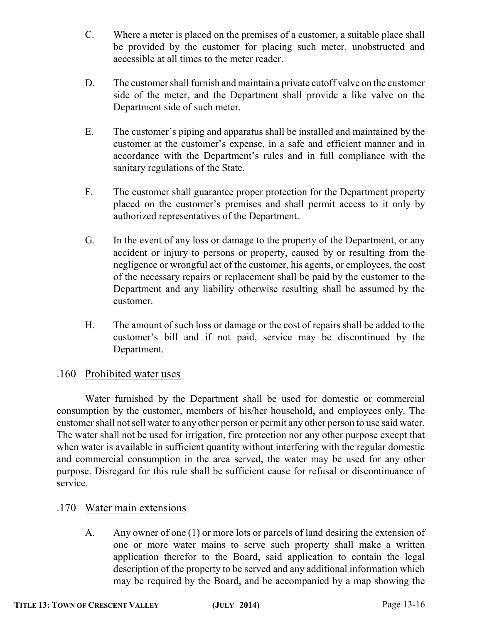- C. Where a meter is placed on the premises of a customer, a suitable place shall be provided by the customer for placing such meter, unobstructed and accessible at all times to the meter reader.
- D. The customer shall furnish and maintain a private cutoff valve on the customer side of the meter, and the Department shall provide a like valve on the Department side of such meter.
- E. The customer's piping and apparatus shall be installed and maintained by the customer at the customer's expense, in a safe and efficient manner and in accordance with the Department's rules and in full compliance with the sanitary regulations of the State.
- F. The customer shall guarantee proper protection for the Department property placed on the customer's premises and shall permit access to it only by authorized representatives of the Department.
- G. In the event of any loss or damage to the property of the Department, or any accident or injury to persons or property, caused by or resulting from the negligence or wrongful act of the customer, his agents, or employees, the cost of the necessary repairs or replacement shall be paid by the customer to the Department and any liability otherwise resulting shall be assumed by the customer.
- H. The amount of such loss or damage or the cost of repairs shall be added to the customer's bill and if not paid, service may be discontinued by the Department.

## .160 Prohibited water uses

Water furnished by the Department shall be used for domestic or commercial consumption by the customer, members of his/her household, and employees only. The customer shall not sell water to any other person or permit any other person to use said water. The water shall not be used for irrigation, fire protection nor any other purpose except that when water is available in sufficient quantity without interfering with the regular domestic and commercial consumption in the area served, the water may be used for any other purpose. Disregard for this rule shall be sufficient cause for refusal or discontinuance of service.

### .170 Water main extensions

A. Any owner of one (1) or more lots or parcels of land desiring the extension of one or more water mains to serve such property shall make a written application therefor to the Board, said application to contain the legal description of the property to be served and any additional information which may be required by the Board, and be accompanied by a map showing the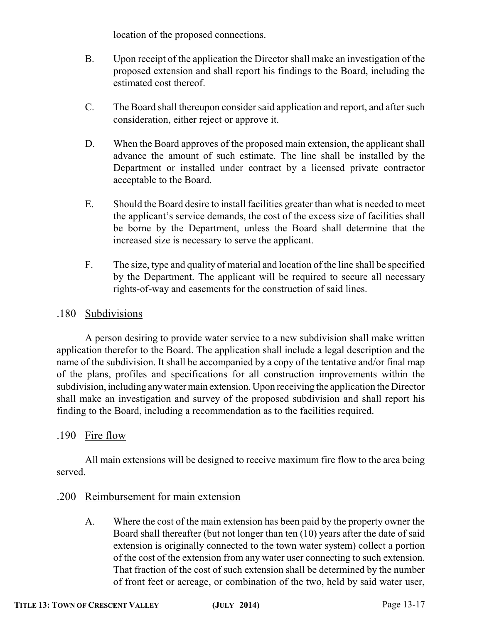location of the proposed connections.

- B. Upon receipt of the application the Director shall make an investigation of the proposed extension and shall report his findings to the Board, including the estimated cost thereof.
- C. The Board shall thereupon consider said application and report, and after such consideration, either reject or approve it.
- D. When the Board approves of the proposed main extension, the applicant shall advance the amount of such estimate. The line shall be installed by the Department or installed under contract by a licensed private contractor acceptable to the Board.
- E. Should the Board desire to install facilities greater than what is needed to meet the applicant's service demands, the cost of the excess size of facilities shall be borne by the Department, unless the Board shall determine that the increased size is necessary to serve the applicant.
- F. The size, type and quality of material and location of the line shall be specified by the Department. The applicant will be required to secure all necessary rights-of-way and easements for the construction of said lines.

## .180 Subdivisions

A person desiring to provide water service to a new subdivision shall make written application therefor to the Board. The application shall include a legal description and the name of the subdivision. It shall be accompanied by a copy of the tentative and/or final map of the plans, profiles and specifications for all construction improvements within the subdivision, including anywatermain extension. Upon receiving the application the Director shall make an investigation and survey of the proposed subdivision and shall report his finding to the Board, including a recommendation as to the facilities required.

## .190 Fire flow

All main extensions will be designed to receive maximum fire flow to the area being served.

### .200 Reimbursement for main extension

A. Where the cost of the main extension has been paid by the property owner the Board shall thereafter (but not longer than ten (10) years after the date of said extension is originally connected to the town water system) collect a portion of the cost of the extension from any water user connecting to such extension. That fraction of the cost of such extension shall be determined by the number of front feet or acreage, or combination of the two, held by said water user,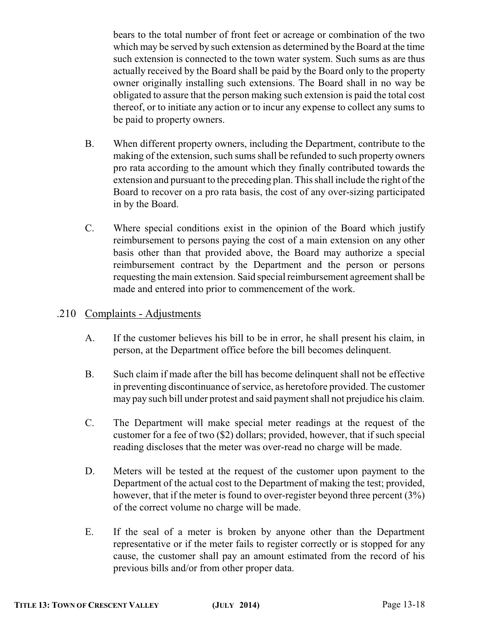bears to the total number of front feet or acreage or combination of the two which may be served by such extension as determined by the Board at the time such extension is connected to the town water system. Such sums as are thus actually received by the Board shall be paid by the Board only to the property owner originally installing such extensions. The Board shall in no way be obligated to assure that the person making such extension is paid the total cost thereof, or to initiate any action or to incur any expense to collect any sums to be paid to property owners.

- B. When different property owners, including the Department, contribute to the making of the extension, such sums shall be refunded to such property owners pro rata according to the amount which they finally contributed towards the extension and pursuant to the preceding plan. This shall include the right of the Board to recover on a pro rata basis, the cost of any over-sizing participated in by the Board.
- C. Where special conditions exist in the opinion of the Board which justify reimbursement to persons paying the cost of a main extension on any other basis other than that provided above, the Board may authorize a special reimbursement contract by the Department and the person or persons requesting the main extension. Said special reimbursement agreement shall be made and entered into prior to commencement of the work.

### .210 Complaints - Adjustments

- A. If the customer believes his bill to be in error, he shall present his claim, in person, at the Department office before the bill becomes delinquent.
- B. Such claim if made after the bill has become delinquent shall not be effective in preventing discontinuance of service, as heretofore provided. The customer may pay such bill under protest and said payment shall not prejudice his claim.
- C. The Department will make special meter readings at the request of the customer for a fee of two (\$2) dollars; provided, however, that if such special reading discloses that the meter was over-read no charge will be made.
- D. Meters will be tested at the request of the customer upon payment to the Department of the actual cost to the Department of making the test; provided, however, that if the meter is found to over-register beyond three percent  $(3\%)$ of the correct volume no charge will be made.
- E. If the seal of a meter is broken by anyone other than the Department representative or if the meter fails to register correctly or is stopped for any cause, the customer shall pay an amount estimated from the record of his previous bills and/or from other proper data.